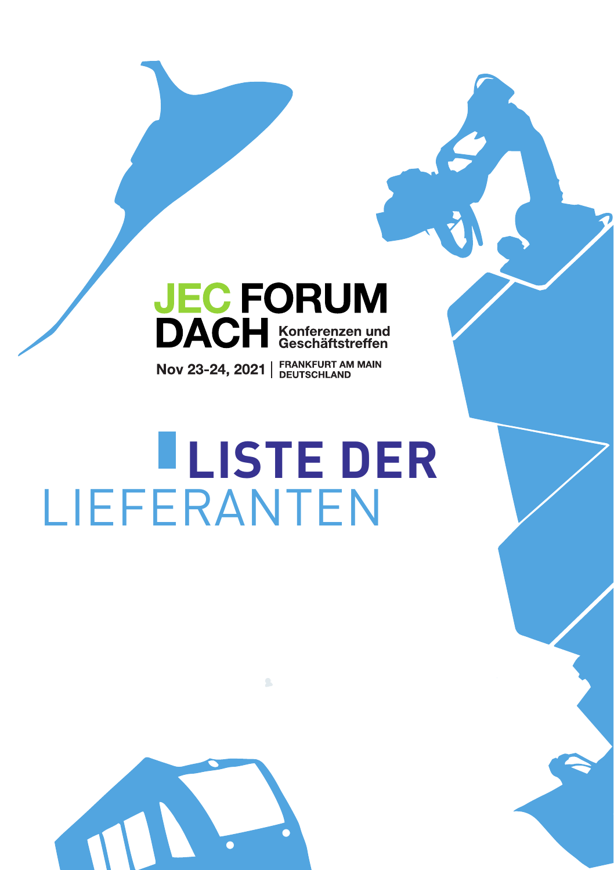# **JEC FORUM**<br>DACH Konferenzen und

Nov 23-24, 2021 | FRANKFURT AM MAIN

 $\mathcal{L}$ 

# **LISTE DER** LIEFERANTEN

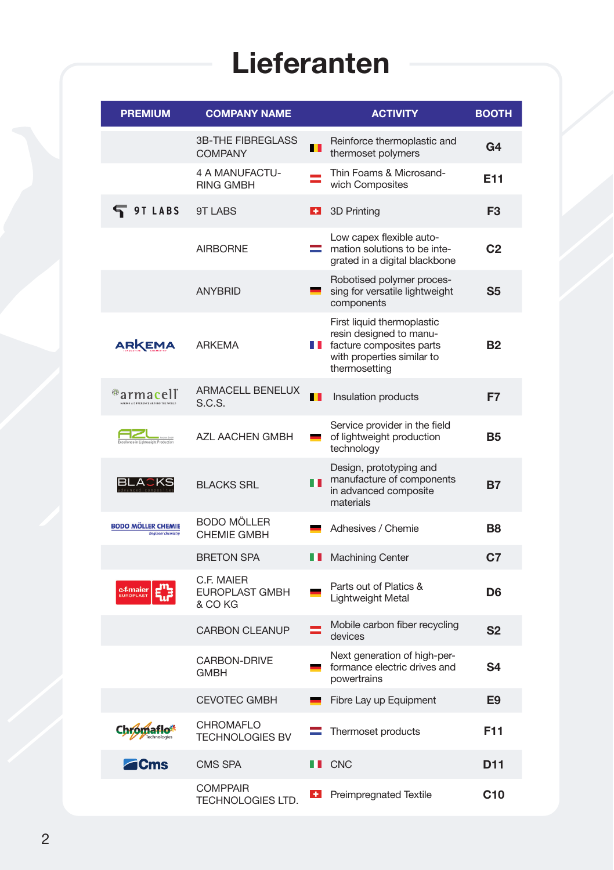| <b>PREMIUM</b>                                              | <b>COMPANY NAME</b>                         |                 | <b>ACTIVITY</b>                                                                                                                           | <b>BOOTH</b>    |
|-------------------------------------------------------------|---------------------------------------------|-----------------|-------------------------------------------------------------------------------------------------------------------------------------------|-----------------|
|                                                             | <b>3B-THE FIBREGLASS</b><br><b>COMPANY</b>  | ш               | Reinforce thermoplastic and<br>thermoset polymers                                                                                         | G4              |
|                                                             | 4 A MANUFACTU-<br><b>RING GMBH</b>          |                 | Thin Foams & Microsand-<br>wich Composites                                                                                                | E11             |
| <b>9TLABS</b>                                               | <b>9T LABS</b>                              | $+$             | 3D Printing                                                                                                                               | F <sub>3</sub>  |
|                                                             | <b>AIRBORNE</b>                             |                 | Low capex flexible auto-<br>$\equiv$ mation solutions to be inte-<br>grated in a digital blackbone                                        | C <sub>2</sub>  |
|                                                             | <b>ANYBRID</b>                              |                 | Robotised polymer proces-<br>sing for versatile lightweight<br>components                                                                 | S <sub>5</sub>  |
| ARKEMA                                                      | <b>ARKEMA</b>                               |                 | First liquid thermoplastic<br>resin designed to manu-<br><b>I</b> facture composites parts<br>with properties similar to<br>thermosetting | <b>B2</b>       |
| ®armacell                                                   | <b>ARMACELL BENELUX</b><br>S.C.S.           | ш               | Insulation products                                                                                                                       | F7              |
| <b>Experience</b><br><b>Experience</b><br><b>Production</b> | AZL AACHEN GMBH                             |                 | Service provider in the field<br>of lightweight production<br>technology                                                                  | <b>B5</b>       |
| BLACKS                                                      | <b>BLACKS SRL</b>                           | ПП              | Design, prototyping and<br>manufacture of components<br>in advanced composite<br>materials                                                | Β7              |
| <b>BODO MÖLLER CHEMIE</b>                                   | <b>BODO MÖLLER</b><br>CHEMIE GMBH           |                 | Adhesives / Chemie                                                                                                                        | B8              |
|                                                             | <b>BRETON SPA</b>                           | n m             | <b>Machining Center</b>                                                                                                                   | C7              |
| c4maier                                                     | C.F. MAIER<br>EUROPLAST GMBH<br>& CO KG     |                 | Parts out of Platics &<br>Lightweight Metal                                                                                               | D <sub>6</sub>  |
|                                                             | <b>CARBON CLEANUP</b>                       |                 | Mobile carbon fiber recycling<br>devices                                                                                                  | S2              |
|                                                             | CARBON-DRIVE<br>GMBH                        | <b>Property</b> | Next generation of high-per-<br>formance electric drives and<br>powertrains                                                               | S4              |
|                                                             | <b>CEVOTEC GMBH</b>                         |                 | Fibre Lay up Equipment                                                                                                                    | E9              |
| Chromafio*                                                  | CHROMAFLO<br><b>TECHNOLOGIES BV</b>         |                 | Thermoset products                                                                                                                        | F11             |
| <b>Z</b> Cms                                                | <b>CMS SPA</b>                              |                 | <b>II</b> CNC                                                                                                                             | D <sub>11</sub> |
|                                                             | <b>COMPPAIR</b><br><b>TECHNOLOGIES LTD.</b> |                 | <b>1</b> Preimpregnated Textile                                                                                                           | C <sub>10</sub> |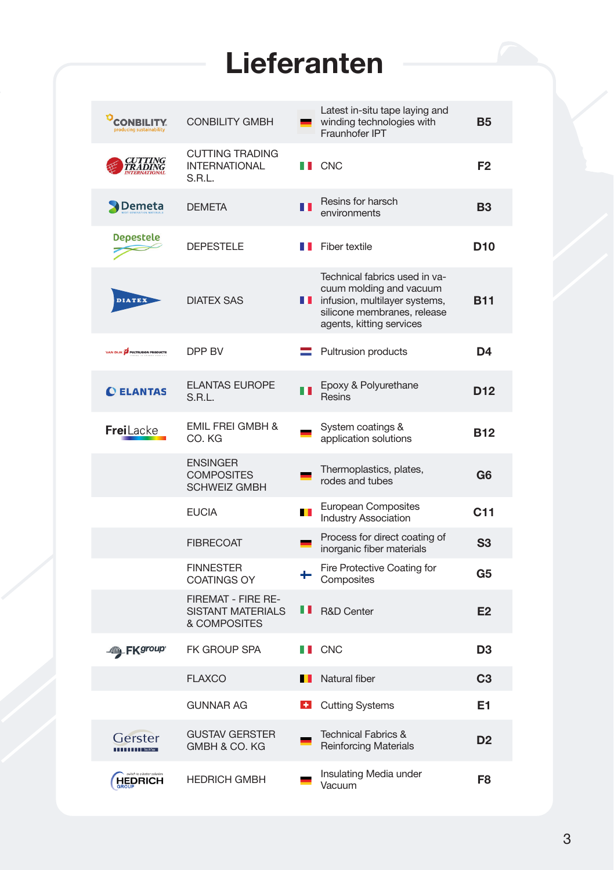| <b>OCONBILITY</b>                     | <b>CONBILITY GMBH</b>                                          |     | Latest in-situ tape laying and<br>winding technologies with<br>Fraunhofer IPT                                                                        | <b>B5</b>       |
|---------------------------------------|----------------------------------------------------------------|-----|------------------------------------------------------------------------------------------------------------------------------------------------------|-----------------|
| CUTTING<br>TRADING                    | <b>CUTTING TRADING</b><br><b>INTERNATIONAL</b><br>S.R.L.       |     | <b>I</b> CNC                                                                                                                                         | F <sub>2</sub>  |
| Demeta                                | <b>DEMETA</b>                                                  | ПT  | Resins for harsch<br>environments                                                                                                                    | <b>B3</b>       |
| <b>Depestele</b>                      | <b>DEPESTELE</b>                                               |     | <b>T</b> Fiber textile                                                                                                                               | D <sub>10</sub> |
| <b>DIATEX</b>                         | <b>DIATEX SAS</b>                                              | H T | Technical fabrics used in va-<br>cuum molding and vacuum<br>infusion, multilayer systems,<br>silicone membranes, release<br>agents, kitting services | <b>B11</b>      |
| VAN DIJK <b>O</b> PULTRUSION PRODUCTS | DPP BV                                                         |     | <b>Pultrusion products</b>                                                                                                                           | D4              |
| <b>CELANTAS</b>                       | <b>ELANTAS EUROPE</b><br>S.R.L.                                | n n | Epoxy & Polyurethane<br>Resins                                                                                                                       | D12             |
| <b>Frei</b> Lacke                     | <b>EMIL FREI GMBH &amp;</b><br>CO. KG                          |     | System coatings &<br>application solutions                                                                                                           | <b>B12</b>      |
|                                       | <b>ENSINGER</b><br><b>COMPOSITES</b><br><b>SCHWEIZ GMBH</b>    |     | Thermoplastics, plates,<br>rodes and tubes                                                                                                           | G6              |
|                                       | <b>EUCIA</b>                                                   | ш   | European Composites<br><b>Industry Association</b>                                                                                                   | C <sub>11</sub> |
|                                       | <b>FIBRECOAT</b>                                               |     | Process for direct coating of<br>inorganic fiber materials                                                                                           | S <sub>3</sub>  |
|                                       | <b>FINNESTER</b><br><b>COATINGS OY</b>                         |     | Fire Protective Coating for<br>Composites                                                                                                            | G5              |
|                                       | FIREMAT - FIRE RE-<br><b>SISTANT MATERIALS</b><br>& COMPOSITES | . . | <b>R&amp;D Center</b>                                                                                                                                | E <sub>2</sub>  |
| <b>Ally FK</b> group                  | FK GROUP SPA                                                   |     | <b>II</b> CNC                                                                                                                                        | D3              |
|                                       | <b>FLAXCO</b>                                                  |     | Natural fiber                                                                                                                                        | C3              |
|                                       | <b>GUNNAR AG</b>                                               |     | <b>H</b> Cutting Systems                                                                                                                             | E1              |
| Gerster<br><b>THEFT Rechtes</b>       | <b>GUSTAV GERSTER</b><br>GMBH & CO. KG                         |     | <b>Technical Fabrics &amp;</b><br><b>Reinforcing Materials</b>                                                                                       | D <sub>2</sub>  |
| <b>HEDRICH</b>                        | <b>HEDRICH GMBH</b>                                            |     | Insulating Media under<br>Vacuum                                                                                                                     | F <sub>8</sub>  |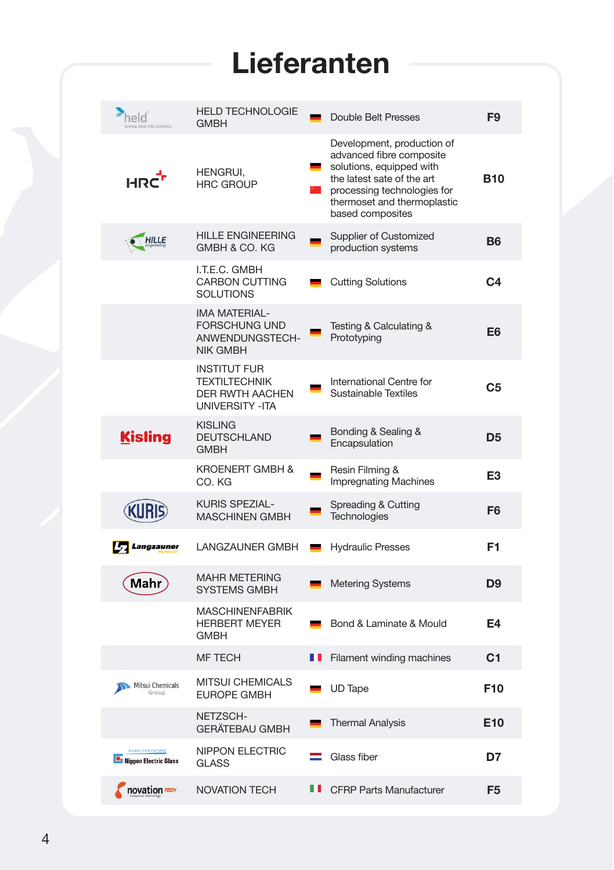| held                                                       | <b>HELD TECHNOLOGIE</b><br>GMBH                                                                  |   | Double Belt Presses                                                                                                                                                                                | F9              |
|------------------------------------------------------------|--------------------------------------------------------------------------------------------------|---|----------------------------------------------------------------------------------------------------------------------------------------------------------------------------------------------------|-----------------|
| HRC <sup>1</sup>                                           | HENGRUI,<br><b>HRC GROUP</b>                                                                     |   | Development, production of<br>advanced fibre composite<br>solutions, equipped with<br>the latest sate of the art<br>processing technologies for<br>thermoset and thermoplastic<br>based composites | <b>B10</b>      |
| $\bullet$ HILLE                                            | <b>HILLE ENGINEERING</b><br>GMBH & CO. KG                                                        |   | Supplier of Customized<br>production systems                                                                                                                                                       | <b>B6</b>       |
|                                                            | I.T.E.C. GMBH<br><b>CARBON CUTTING</b><br><b>SOLUTIONS</b>                                       |   | <b>Cutting Solutions</b>                                                                                                                                                                           | C4              |
|                                                            | <b>IMA MATERIAL-</b><br><b>FORSCHUNG UND</b><br>ANWENDUNGSTECH-<br><b>NIK GMBH</b>               |   | Testing & Calculating &<br>Prototyping                                                                                                                                                             | E6              |
|                                                            | <b>INSTITUT FUR</b><br><b>TEXTILTECHNIK</b><br><b>DER RWTH AACHEN</b><br><b>UNIVERSITY - ITA</b> |   | International Centre for<br>Sustainable Textiles                                                                                                                                                   | C5              |
| <b>Kisling</b>                                             | <b>KISLING</b><br><b>DEUTSCHLAND</b><br><b>GMBH</b>                                              |   | Bonding & Sealing &<br>Encapsulation                                                                                                                                                               | D5              |
|                                                            | <b>KROENERT GMBH &amp;</b><br>CO. KG                                                             |   | Resin Filming &<br><b>Impregnating Machines</b>                                                                                                                                                    | E3              |
| <b>KURIS</b>                                               | KURIS SPEZIAL-<br><b>MASCHINEN GMBH</b>                                                          |   | Spreading & Cutting<br>Technologies                                                                                                                                                                | F6              |
| Langzauner                                                 | LANGZAUNER GMBH                                                                                  |   | <b>Hydraulic Presses</b>                                                                                                                                                                           | F <sub>1</sub>  |
| Mahr                                                       | <b>MAHR METERING</b><br><b>SYSTEMS GMBH</b>                                                      |   | <b>Metering Systems</b>                                                                                                                                                                            | D9              |
|                                                            | <b>MASCHINENFABRIK</b><br><b>HERBERT MEYER</b><br>GMBH                                           |   | Bond & Laminate & Mould                                                                                                                                                                            | E4              |
|                                                            | <b>MF TECH</b>                                                                                   | Ш | <b>Filament winding machines</b>                                                                                                                                                                   | C1              |
| Mitsui Chemicals<br>Group                                  | MITSUI CHEMICALS<br><b>EUROPE GMBH</b>                                                           |   | UD Tape                                                                                                                                                                                            | F <sub>10</sub> |
|                                                            | NETZSCH-<br>GERÄTEBAU GMBH                                                                       |   | <b>Thermal Analysis</b>                                                                                                                                                                            | E <sub>10</sub> |
| <b>GLASS FOR FUTURE</b><br><b>ON</b> Nippon Electric Glass | NIPPON ELECTRIC<br><b>GLASS</b>                                                                  | ÷ | Glass fiber                                                                                                                                                                                        | D7              |
| novation TECH                                              | <b>NOVATION TECH</b>                                                                             |   | <b>E</b> CFRP Parts Manufacturer                                                                                                                                                                   | F <sub>5</sub>  |